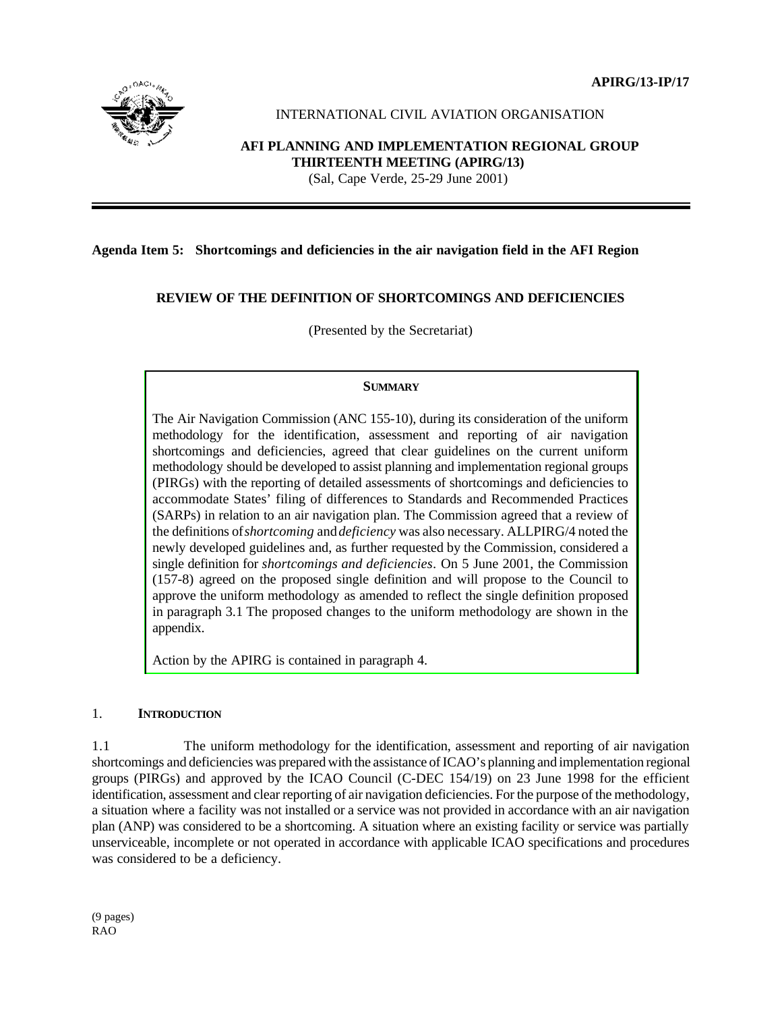**APIRG/13-IP/17**



# INTERNATIONAL CIVIL AVIATION ORGANISATION

### **AFI PLANNING AND IMPLEMENTATION REGIONAL GROUP THIRTEENTH MEETING (APIRG/13)** (Sal, Cape Verde, 25-29 June 2001)

## **Agenda Item 5: Shortcomings and deficiencies in the air navigation field in the AFI Region**

## **REVIEW OF THE DEFINITION OF SHORTCOMINGS AND DEFICIENCIES**

(Presented by the Secretariat)

## **SUMMARY**

The Air Navigation Commission (ANC 155-10), during its consideration of the uniform methodology for the identification, assessment and reporting of air navigation shortcomings and deficiencies, agreed that clear guidelines on the current uniform methodology should be developed to assist planning and implementation regional groups (PIRGs) with the reporting of detailed assessments of shortcomings and deficiencies to accommodate States' filing of differences to Standards and Recommended Practices (SARPs) in relation to an air navigation plan. The Commission agreed that a review of the definitions of *shortcoming* and *deficiency* was also necessary. ALLPIRG/4 noted the newly developed guidelines and, as further requested by the Commission, considered a single definition for *shortcomings and deficiencies*. On 5 June 2001, the Commission (157-8) agreed on the proposed single definition and will propose to the Council to approve the uniform methodology as amended to reflect the single definition proposed in paragraph 3.1 The proposed changes to the uniform methodology are shown in the appendix.

Action by the APIRG is contained in paragraph 4.

#### 1. **INTRODUCTION**

1.1 The uniform methodology for the identification, assessment and reporting of air navigation shortcomings and deficiencies was prepared with the assistance of ICAO's planning and implementation regional groups (PIRGs) and approved by the ICAO Council (C-DEC 154/19) on 23 June 1998 for the efficient identification, assessment and clear reporting of air navigation deficiencies. For the purpose of the methodology, a situation where a facility was not installed or a service was not provided in accordance with an air navigation plan (ANP) was considered to be a shortcoming. A situation where an existing facility or service was partially unserviceable, incomplete or not operated in accordance with applicable ICAO specifications and procedures was considered to be a deficiency.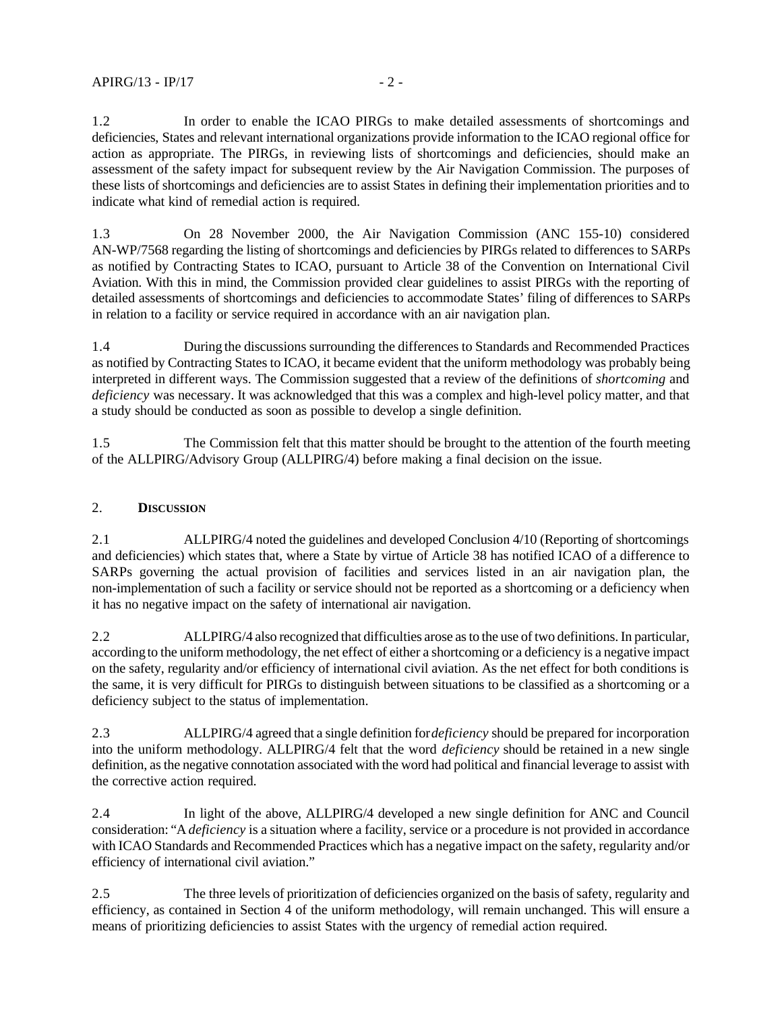1.2 In order to enable the ICAO PIRGs to make detailed assessments of shortcomings and deficiencies, States and relevant international organizations provide information to the ICAO regional office for action as appropriate. The PIRGs, in reviewing lists of shortcomings and deficiencies, should make an assessment of the safety impact for subsequent review by the Air Navigation Commission. The purposes of these lists of shortcomings and deficiencies are to assist States in defining their implementation priorities and to indicate what kind of remedial action is required.

1.3 On 28 November 2000, the Air Navigation Commission (ANC 155-10) considered AN-WP/7568 regarding the listing of shortcomings and deficiencies by PIRGs related to differences to SARPs as notified by Contracting States to ICAO, pursuant to Article 38 of the Convention on International Civil Aviation. With this in mind, the Commission provided clear guidelines to assist PIRGs with the reporting of detailed assessments of shortcomings and deficiencies to accommodate States' filing of differences to SARPs in relation to a facility or service required in accordance with an air navigation plan.

1.4 During the discussions surrounding the differences to Standards and Recommended Practices as notified by Contracting States to ICAO, it became evident that the uniform methodology was probably being interpreted in different ways. The Commission suggested that a review of the definitions of *shortcoming* and *deficiency* was necessary. It was acknowledged that this was a complex and high-level policy matter, and that a study should be conducted as soon as possible to develop a single definition.

1.5 The Commission felt that this matter should be brought to the attention of the fourth meeting of the ALLPIRG/Advisory Group (ALLPIRG/4) before making a final decision on the issue.

## 2. **DISCUSSION**

2.1 ALLPIRG/4 noted the guidelines and developed Conclusion 4/10 (Reporting of shortcomings and deficiencies) which states that, where a State by virtue of Article 38 has notified ICAO of a difference to SARPs governing the actual provision of facilities and services listed in an air navigation plan, the non-implementation of such a facility or service should not be reported as a shortcoming or a deficiency when it has no negative impact on the safety of international air navigation.

2.2 ALLPIRG/4 also recognized that difficulties arose as to the use of two definitions. In particular, according to the uniform methodology, the net effect of either a shortcoming or a deficiency is a negative impact on the safety, regularity and/or efficiency of international civil aviation. As the net effect for both conditions is the same, it is very difficult for PIRGs to distinguish between situations to be classified as a shortcoming or a deficiency subject to the status of implementation.

2.3 ALLPIRG/4 agreed that a single definition for *deficiency* should be prepared for incorporation into the uniform methodology. ALLPIRG/4 felt that the word *deficiency* should be retained in a new single definition, as the negative connotation associated with the word had political and financial leverage to assist with the corrective action required.

2.4 In light of the above, ALLPIRG/4 developed a new single definition for ANC and Council consideration: "A *deficiency* is a situation where a facility, service or a procedure is not provided in accordance with ICAO Standards and Recommended Practices which has a negative impact on the safety, regularity and/or efficiency of international civil aviation."

2.5 The three levels of prioritization of deficiencies organized on the basis of safety, regularity and efficiency, as contained in Section 4 of the uniform methodology, will remain unchanged. This will ensure a means of prioritizing deficiencies to assist States with the urgency of remedial action required.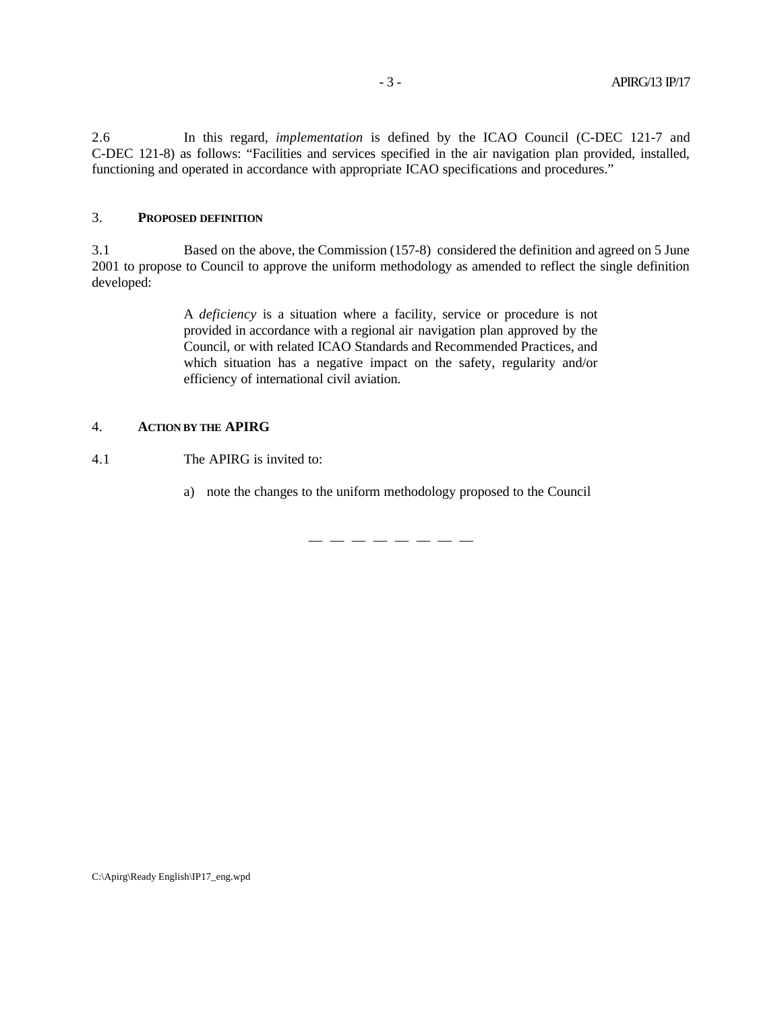2.6 In this regard, *implementation* is defined by the ICAO Council (C-DEC 121-7 and C-DEC 121-8) as follows: "Facilities and services specified in the air navigation plan provided, installed, functioning and operated in accordance with appropriate ICAO specifications and procedures."

### 3. **PROPOSED DEFINITION**

3.1 Based on the above, the Commission (157-8) considered the definition and agreed on 5 June 2001 to propose to Council to approve the uniform methodology as amended to reflect the single definition developed:

> A *deficiency* is a situation where a facility, service or procedure is not provided in accordance with a regional air navigation plan approved by the Council, or with related ICAO Standards and Recommended Practices, and which situation has a negative impact on the safety, regularity and/or efficiency of international civil aviation.

### 4. **ACTION BY THE APIRG**

4.1 The APIRG is invited to:

a) note the changes to the uniform methodology proposed to the Council

— — — — — — — —

C:\Apirg\Ready English\IP17\_eng.wpd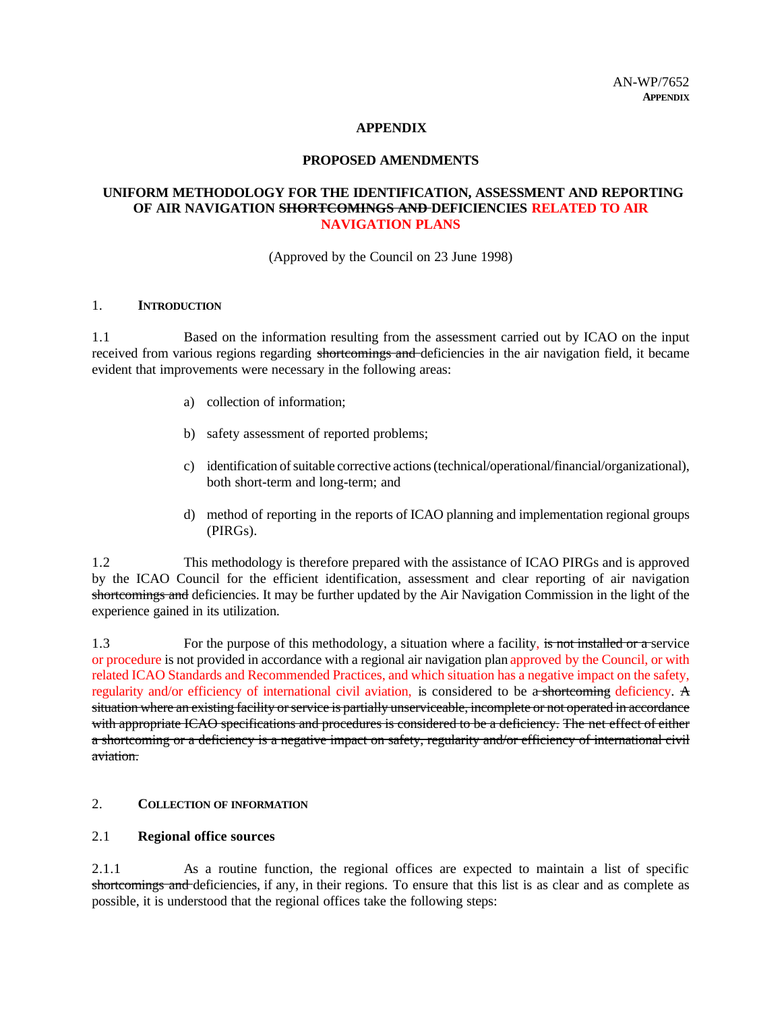#### **APPENDIX**

#### **PROPOSED AMENDMENTS**

## **UNIFORM METHODOLOGY FOR THE IDENTIFICATION, ASSESSMENT AND REPORTING OF AIR NAVIGATION SHORTCOMINGS AND DEFICIENCIES RELATED TO AIR NAVIGATION PLANS**

(Approved by the Council on 23 June 1998)

#### 1. **INTRODUCTION**

1.1 Based on the information resulting from the assessment carried out by ICAO on the input received from various regions regarding shortcomings and deficiencies in the air navigation field, it became evident that improvements were necessary in the following areas:

- a) collection of information;
- b) safety assessment of reported problems;
- c) identification of suitable corrective actions (technical/operational/financial/organizational), both short-term and long-term; and
- d) method of reporting in the reports of ICAO planning and implementation regional groups (PIRGs).

1.2 This methodology is therefore prepared with the assistance of ICAO PIRGs and is approved by the ICAO Council for the efficient identification, assessment and clear reporting of air navigation shortcomings and deficiencies. It may be further updated by the Air Navigation Commission in the light of the experience gained in its utilization.

1.3 For the purpose of this methodology, a situation where a facility, is not installed or a service or procedure is not provided in accordance with a regional air navigation plan approved by the Council, or with related ICAO Standards and Recommended Practices, and which situation has a negative impact on the safety, regularity and/or efficiency of international civil aviation, is considered to be a shortcoming deficiency. A situation where an existing facility or service is partially unserviceable, incomplete or not operated in accordance with appropriate ICAO specifications and procedures is considered to be a deficiency. The net effect of either a shortcoming or a deficiency is a negative impact on safety, regularity and/or efficiency of international civil aviation.

#### 2. **COLLECTION OF INFORMATION**

## 2.1 **Regional office sources**

2.1.1 As a routine function, the regional offices are expected to maintain a list of specific shortcomings and deficiencies, if any, in their regions. To ensure that this list is as clear and as complete as possible, it is understood that the regional offices take the following steps: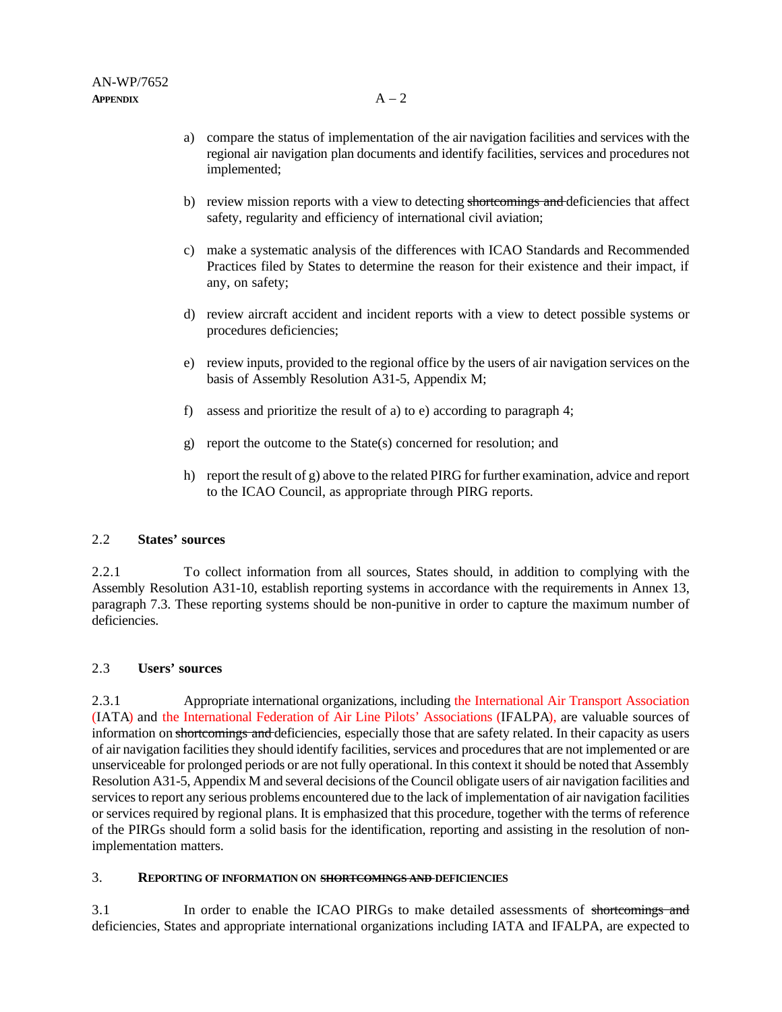- a) compare the status of implementation of the air navigation facilities and services with the regional air navigation plan documents and identify facilities, services and procedures not implemented;
- b) review mission reports with a view to detecting shortcomings and deficiencies that affect safety, regularity and efficiency of international civil aviation;
- c) make a systematic analysis of the differences with ICAO Standards and Recommended Practices filed by States to determine the reason for their existence and their impact, if any, on safety;
- d) review aircraft accident and incident reports with a view to detect possible systems or procedures deficiencies;
- e) review inputs, provided to the regional office by the users of air navigation services on the basis of Assembly Resolution A31-5, Appendix M;
- f) assess and prioritize the result of a) to e) according to paragraph 4;
- g) report the outcome to the State(s) concerned for resolution; and
- h) report the result of g) above to the related PIRG for further examination, advice and report to the ICAO Council, as appropriate through PIRG reports.

### 2.2 **States' sources**

2.2.1 To collect information from all sources, States should, in addition to complying with the Assembly Resolution A31-10, establish reporting systems in accordance with the requirements in Annex 13, paragraph 7.3. These reporting systems should be non-punitive in order to capture the maximum number of deficiencies.

#### 2.3 **Users' sources**

2.3.1 Appropriate international organizations, including the International Air Transport Association (IATA) and the International Federation of Air Line Pilots' Associations (IFALPA), are valuable sources of information on shortcomings and deficiencies, especially those that are safety related. In their capacity as users of air navigation facilities they should identify facilities, services and procedures that are not implemented or are unserviceable for prolonged periods or are not fully operational. In this context it should be noted that Assembly Resolution A31-5, Appendix M and several decisions of the Council obligate users of air navigation facilities and services to report any serious problems encountered due to the lack of implementation of air navigation facilities or services required by regional plans. It is emphasized that this procedure, together with the terms of reference of the PIRGs should form a solid basis for the identification, reporting and assisting in the resolution of nonimplementation matters.

## 3. **REPORTING OF INFORMATION ON SHORTCOMINGS AND DEFICIENCIES**

3.1 In order to enable the ICAO PIRGs to make detailed assessments of shortcomings and deficiencies, States and appropriate international organizations including IATA and IFALPA, are expected to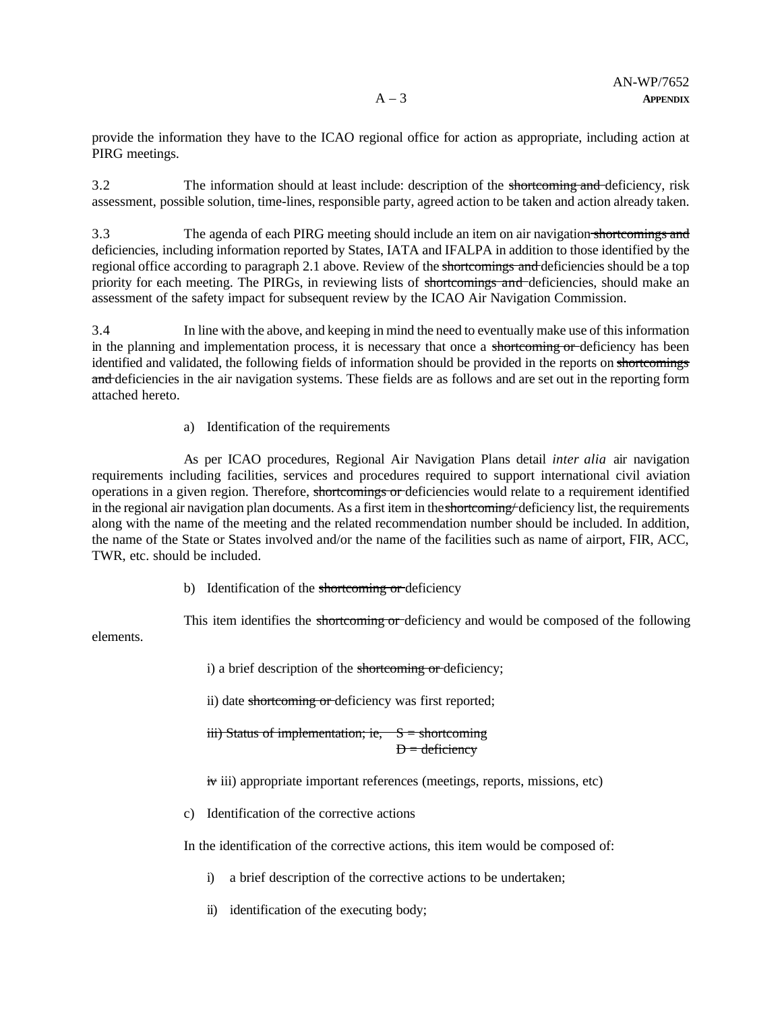provide the information they have to the ICAO regional office for action as appropriate, including action at PIRG meetings.

3.2 The information should at least include: description of the shortcoming and deficiency, risk assessment, possible solution, time-lines, responsible party, agreed action to be taken and action already taken.

3.3 The agenda of each PIRG meeting should include an item on air navigation shortcomings and deficiencies, including information reported by States, IATA and IFALPA in addition to those identified by the regional office according to paragraph 2.1 above. Review of the shortcomings and deficiencies should be a top priority for each meeting. The PIRGs, in reviewing lists of shortcomings and deficiencies, should make an assessment of the safety impact for subsequent review by the ICAO Air Navigation Commission.

3.4 In line with the above, and keeping in mind the need to eventually make use of this information in the planning and implementation process, it is necessary that once a shortcoming or deficiency has been identified and validated, the following fields of information should be provided in the reports on shortcomings and deficiencies in the air navigation systems. These fields are as follows and are set out in the reporting form attached hereto.

a) Identification of the requirements

elements.

As per ICAO procedures, Regional Air Navigation Plans detail *inter alia* air navigation requirements including facilities, services and procedures required to support international civil aviation operations in a given region. Therefore, shortcomings or deficiencies would relate to a requirement identified in the regional air navigation plan documents. As a first item in the shortcoming/ deficiency list, the requirements along with the name of the meeting and the related recommendation number should be included. In addition, the name of the State or States involved and/or the name of the facilities such as name of airport, FIR, ACC, TWR, etc. should be included.

b) Identification of the shortcoming or deficiency

This item identifies the shortcoming or deficiency and would be composed of the following

i) a brief description of the shortcoming or deficiency;

ii) date shortcoming or deficiency was first reported;

iii) Status of implementation; ie,  $S =$  shortcoming  $D =$  deficiency

 $\dot{\mathbf{r}}$  iii) appropriate important references (meetings, reports, missions, etc)

c) Identification of the corrective actions

In the identification of the corrective actions, this item would be composed of:

i) a brief description of the corrective actions to be undertaken;

ii) identification of the executing body;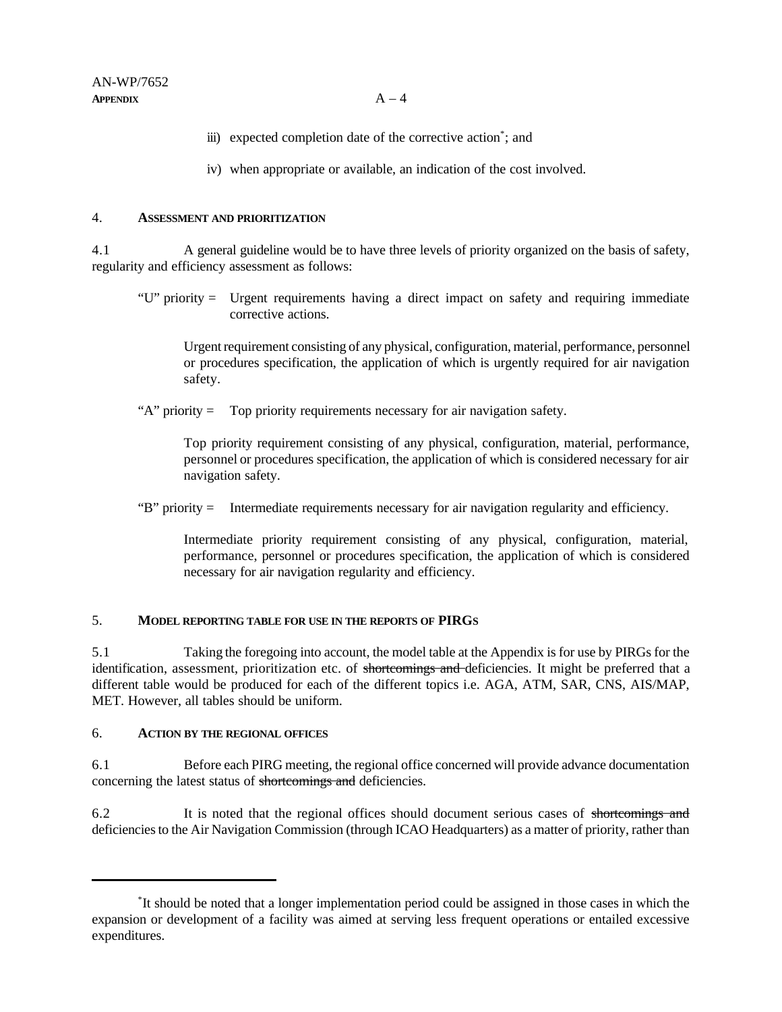- iii) expected completion date of the corrective action<sup>\*</sup>; and
- iv) when appropriate or available, an indication of the cost involved.

### 4. **ASSESSMENT AND PRIORITIZATION**

4.1 A general guideline would be to have three levels of priority organized on the basis of safety, regularity and efficiency assessment as follows:

"U" priority = Urgent requirements having a direct impact on safety and requiring immediate corrective actions.

Urgent requirement consisting of any physical, configuration, material, performance, personnel or procedures specification, the application of which is urgently required for air navigation safety.

"A" priority = Top priority requirements necessary for air navigation safety.

Top priority requirement consisting of any physical, configuration, material, performance, personnel or procedures specification, the application of which is considered necessary for air navigation safety.

"B" priority = Intermediate requirements necessary for air navigation regularity and efficiency.

Intermediate priority requirement consisting of any physical, configuration, material, performance, personnel or procedures specification, the application of which is considered necessary for air navigation regularity and efficiency.

## 5. **MODEL REPORTING TABLE FOR USE IN THE REPORTS OF PIRGS**

5.1 Taking the foregoing into account, the model table at the Appendix is for use by PIRGs for the identification, assessment, prioritization etc. of shortcomings and deficiencies. It might be preferred that a different table would be produced for each of the different topics i.e. AGA, ATM, SAR, CNS, AIS/MAP, MET. However, all tables should be uniform.

## 6. **ACTION BY THE REGIONAL OFFICES**

6.1 Before each PIRG meeting, the regional office concerned will provide advance documentation concerning the latest status of shortcomings and deficiencies.

6.2 It is noted that the regional offices should document serious cases of shortcomings and deficiencies to the Air Navigation Commission (through ICAO Headquarters) as a matter of priority, rather than

<sup>\*</sup> It should be noted that a longer implementation period could be assigned in those cases in which the expansion or development of a facility was aimed at serving less frequent operations or entailed excessive expenditures.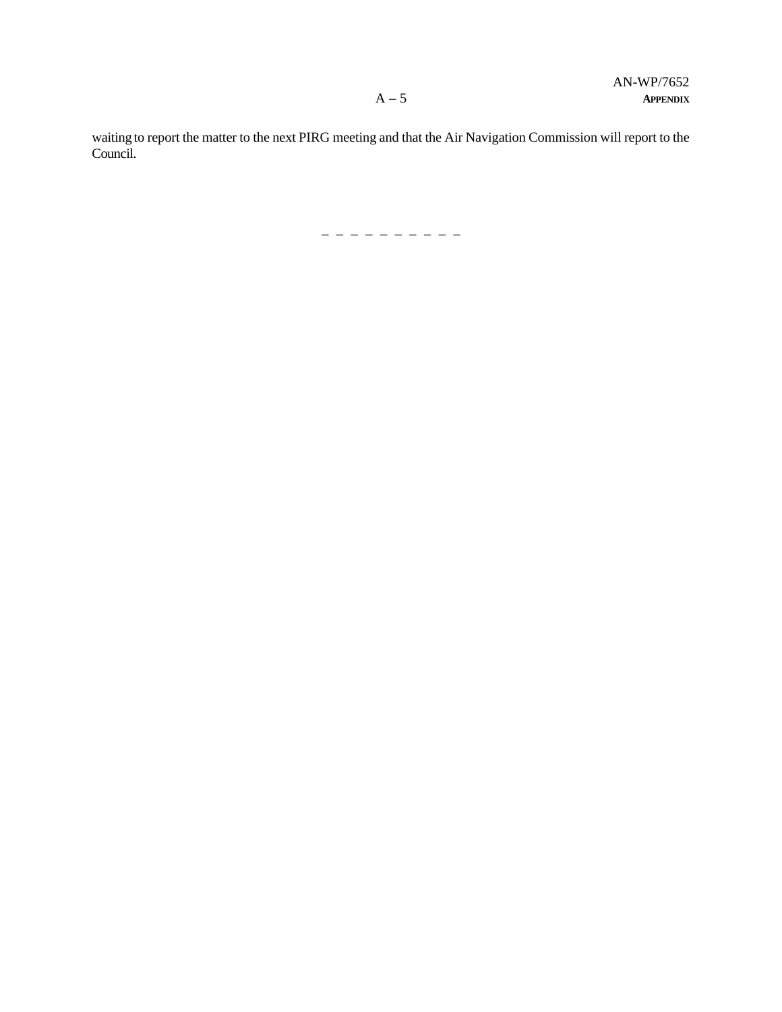waiting to report the matter to the next PIRG meeting and that the Air Navigation Commission will report to the Council.

– – – – – – – – – –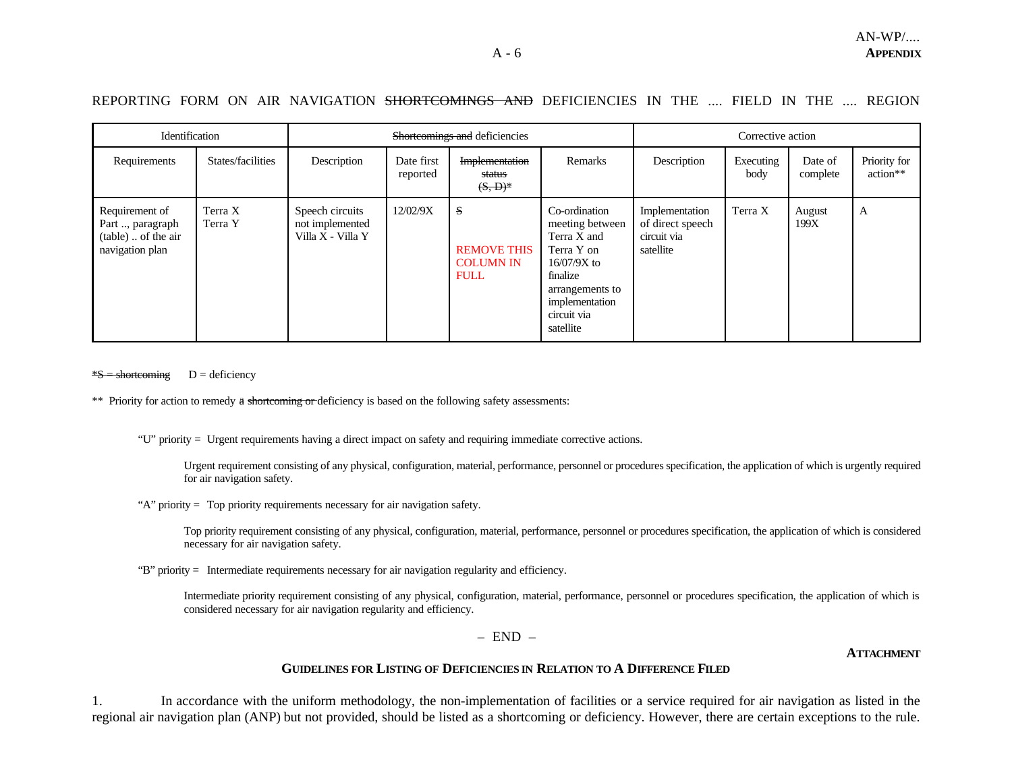# REPORTING FORM ON AIR NAVIGATION SHORTCOMINGS AND DEFICIENCIES IN THE .... FIELD IN THE .... REGION

| Identification                                                               |                    | Shortcomings and deficiencies                           |                        |                                                            |                                                                                                                                                             | Corrective action                                              |                   |                     |                          |
|------------------------------------------------------------------------------|--------------------|---------------------------------------------------------|------------------------|------------------------------------------------------------|-------------------------------------------------------------------------------------------------------------------------------------------------------------|----------------------------------------------------------------|-------------------|---------------------|--------------------------|
| Requirements                                                                 | States/facilities  | Description                                             | Date first<br>reported | Implementation<br>status<br>$(S, D)^*$                     | Remarks                                                                                                                                                     | Description                                                    | Executing<br>body | Date of<br>complete | Priority for<br>action** |
| Requirement of<br>Part , paragraph<br>(table)  of the air<br>navigation plan | Terra X<br>Terra Y | Speech circuits<br>not implemented<br>Villa X - Villa Y | 12/02/9X               | S<br><b>REMOVE THIS</b><br><b>COLUMN IN</b><br><b>FULL</b> | Co-ordination<br>meeting between<br>Terra X and<br>Terra Y on<br>$16/07/9X$ to<br>finalize<br>arrangements to<br>implementation<br>circuit via<br>satellite | Implementation<br>of direct speech<br>circuit via<br>satellite | Terra X           | August<br>199X      | A                        |

 $\frac{S}{S}$  = shortcoming D = deficiency

\*\* Priority for action to remedy a shortcoming or deficiency is based on the following safety assessments:

"U" priority = Urgent requirements having a direct impact on safety and requiring immediate corrective actions.

Urgent requirement consisting of any physical, configuration, material, performance, personnel or procedures specification, the application of which is urgently required for air navigation safety.

"A" priority = Top priority requirements necessary for air navigation safety.

Top priority requirement consisting of any physical, configuration, material, performance, personnel or procedures specification, the application of which is considered necessary for air navigation safety.

"B" priority = Intermediate requirements necessary for air navigation regularity and efficiency.

Intermediate priority requirement consisting of any physical, configuration, material, performance, personnel or procedures specification, the application of which is considered necessary for air navigation regularity and efficiency.

 $-$  END  $-$ 

**ATTACHMENT**

#### **GUIDELINES FOR LISTING OF DEFICIENCIES IN RELATION TO A DIFFERENCE FILED**

1. In accordance with the uniform methodology, the non-implementation of facilities or a service required for air navigation as listed in the regional air navigation plan (ANP) but not provided, should be listed as a shortcoming or deficiency. However, there are certain exceptions to the rule.